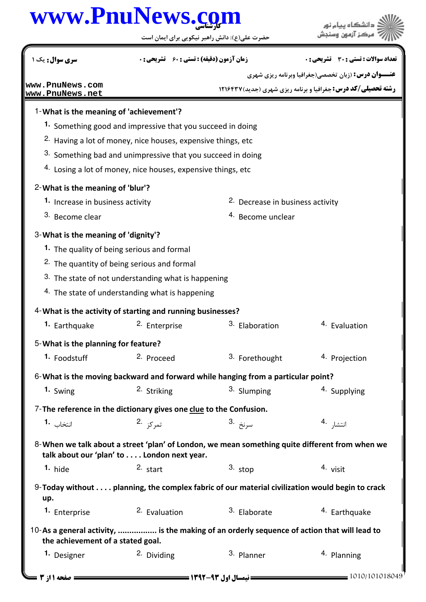## كارشناسي **[www.PnuNews.com](http://www.PnuNews.com)**

حضرت علي(ع): دانش راهبر نيكويي براي ايمان است

**عنـــوان درس:** (زبان تخصصي(جغرافيا وبرنامه ريزي شهري **رشته تحصیلی/کد درس: جغرافیا و برنامه ریزی شهری (جدید) ۱۲۱۶۴۳۷** نعداد سوالات : تستي : 30 - تشريحي : . زمان آزمون (دقيقه) : تستي : 60 - تشريحي : . سري سوال : يک 1 What is the meaning of 'achievement'? 1- 1. Something good and impressive that you succeed in doing <sup>2.</sup> Having a lot of money, nice houses, expensive things, etc  $3.$  Something bad and unimpressive that you succeed in doing 4. Losing a lot of money, nice houses, expensive things, etc What is the meaning of 'blur'? 2- 2. Decrease in business activity 4. Become unclear **1.** Increase in business activity 3. Become clear 3- What is the meaning of 'dignity'? 1. The quality of being serious and formal 2. The quantity of being serious and formal 3. The state of not understanding what is happening  $4.$  The state of understanding what is happening 4- What is the activity of starting and running businesses? 1. Earthquake 2. Enterprise 2. Elaboration 3. Elaboration 4. Evaluation 3. Flaboration What is the planning for feature? 5- 1. Foodstuff **1.** Proceed **1.** Prothought **1.** Projection 6-What is the moving backward and forward while hanging from a particular point? 1. Swing 2. Striking 3. Slumping 4. Supplying <sup>3.</sup> Slumping 7-The reference in the dictionary gives one clue to the Confusion. انتخاب **1**۰ تم کز .2 س<sub>ا</sub>نخ .3 انتشا, <sup>4</sup>۰ **1. 1. 2. 2. 2. 2. 2. 3. 2. 4.** 8-When we talk about a street 'plan' of London, we mean something quite different from when we talk about our 'plan' to . . . . London next year. hide  $\frac{2}{5}$  start  $\frac{3}{5}$  stop  $\frac{4}{5}$  visit **1.**  $\frac{1}{2}$ ,  $\frac{1}{2}$ ,  $\frac{1}{2}$ ,  $\frac{1}{2}$ ,  $\frac{1}{2}$ ,  $\frac{1}{2}$ ,  $\frac{1}{2}$ ,  $\frac{1}{2}$ ,  $\frac{1}{2}$ ,  $\frac{1}{2}$ ,  $\frac{1}{2}$ ,  $\frac{1}{2}$ ,  $\frac{1}{2}$ ,  $\frac{1}{2}$ ,  $\frac{1}{2}$ ,  $\frac{1}{2}$ ,  $\frac{1}{2}$ ,  $\frac{1}{2}$ ,  $\frac{1}{2}$ ,  $\frac{1}{2$ Today without . . . . planning, the complex fabric of our material civilization would begin to crack 9 up. 1. Enterprise 2. Evaluation  $\frac{3}{2}$  Elaborate  $\frac{4}{2}$  Earthquake 2. **Evaluation** 10-As a general activity, ................. is the making of an orderly sequence of action that will lead to the achievement of a stated goal. 1. Designer 2. Dividing 2.  $\frac{1}{2}$  Planner 3. Planner 4. Planning 2. Dividing **[www.PnuNews.com](http://pnunews.com) [www.PnuNews.net](http://pnunews.net)**

.<br>ڏ دانشڪاه پيام نور<br>\* مرڪز آزمون وسنڊش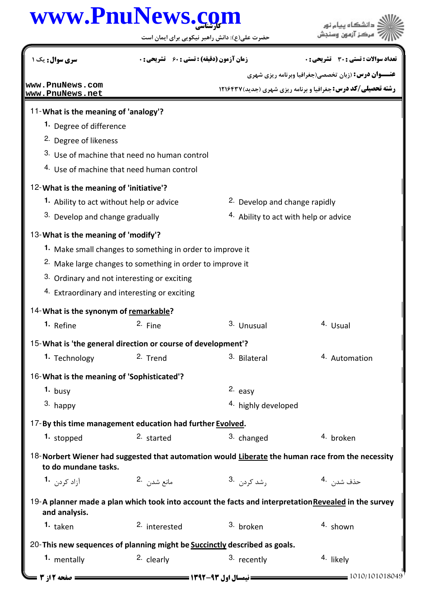## كارشناسي **[www.PnuNews.com](http://www.PnuNews.com)**

حضرت علي(ع): دانش راهبر نيكويي براي ايمان است

.<br>ڏ دانشڪاه پيا<mark>ء نور</mark><br>\* مرڪز آزمون وسنڊش

**عنـــوان درس:** (زبان تخصصي(جغرافيا وبرنامه ريزي شهري **رشته تحصیلی/کد درس: جغرافیا و برنامه ریزی شهری (جدید) ۱۲۱۶۴۳۷** نعداد سوالات : تستي : 30 - تشريحي : . زمان آزمون (دقيقه) : تستي : 60 - تشريحي : . سري سوال : يک 1 11- What is the meaning of 'analogy'? 1. Degree of difference <sup>2</sup> Degree of likeness 3. Use of machine that need no human control 4. Use of machine that need human control 12- What is the meaning of 'initiative'? 1. Ability to act without help or advice **2.** Develop and change rapidly 4. Ability to act with help or advice 3. Develop and change gradually 13- What is the meaning of 'modify'? Make small changes to something in order to improve it **1.** 2. Make large changes to something in order to improve it 3. Ordinary and not interesting or exciting 4. Extraordinary and interesting or exciting 14- What is the synonym of remarkable? **1.** Refine **1. 2.** Fine **1. 1.** 2. Fine **1. 1.** Usual **1.** Usual 15- What is 'the general direction or course of development'? 2. Trend 3. Bilateral 4. Automation **1.** Technology 16-What is the meaning of 'Sophisticated'? 2. easy 4. highly developed **1.** busy  $3.$  happy 17-By this time management education had further Evolved. **1.** stopped 2. started 2. started 3. changed 4. broken 18-Norbert Wiener had suggested that automation would Liberate the human race from the necessity to do mundane tasks. مانع شدن <sup>.2</sup> نفر .1 **1.** 2. 3. 4. 19-A planner made a plan which took into account the facts and interpretation Revealed in the survey and analysis. 1. taken and the state of the contracted terms of the shown broken broken broken broken broken broken broken bro 20-This new sequences of planning might be **Succinctly** described as goals. 1. mentally **2.** clearly **2.** clearly **2.** Clearly **2.** A. iikely 1010/101018049 1392-93 نيمسال اول 2 از 3 صفحه **[www.PnuNews.com](http://pnunews.com) [www.PnuNews.net](http://pnunews.net)**